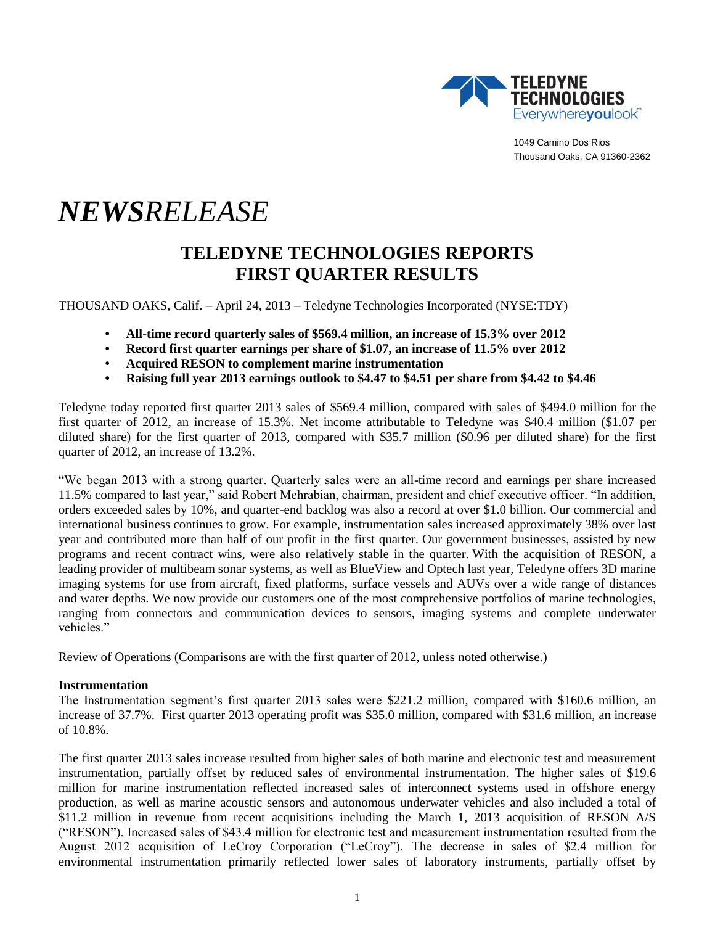

1049 Camino Dos Rios Thousand Oaks, CA 91360-2362

# *NEWSRELEASE*

# **TELEDYNE TECHNOLOGIES REPORTS FIRST QUARTER RESULTS**

THOUSAND OAKS, Calif. – April 24, 2013 – Teledyne Technologies Incorporated (NYSE:TDY)

- **• All-time record quarterly sales of \$569.4 million, an increase of 15.3% over 2012**
- **• Record first quarter earnings per share of \$1.07, an increase of 11.5% over 2012**
- **• Acquired RESON to complement marine instrumentation**
- **• Raising full year 2013 earnings outlook to \$4.47 to \$4.51 per share from \$4.42 to \$4.46**

Teledyne today reported first quarter 2013 sales of \$569.4 million, compared with sales of \$494.0 million for the first quarter of 2012, an increase of 15.3%. Net income attributable to Teledyne was \$40.4 million (\$1.07 per diluted share) for the first quarter of 2013, compared with \$35.7 million (\$0.96 per diluted share) for the first quarter of 2012, an increase of 13.2%.

"We began 2013 with a strong quarter. Quarterly sales were an all-time record and earnings per share increased 11.5% compared to last year," said Robert Mehrabian, chairman, president and chief executive officer. "In addition, orders exceeded sales by 10%, and quarter-end backlog was also a record at over \$1.0 billion. Our commercial and international business continues to grow. For example, instrumentation sales increased approximately 38% over last year and contributed more than half of our profit in the first quarter. Our government businesses, assisted by new programs and recent contract wins, were also relatively stable in the quarter. With the acquisition of RESON, a leading provider of multibeam sonar systems, as well as BlueView and Optech last year, Teledyne offers 3D marine imaging systems for use from aircraft, fixed platforms, surface vessels and AUVs over a wide range of distances and water depths. We now provide our customers one of the most comprehensive portfolios of marine technologies, ranging from connectors and communication devices to sensors, imaging systems and complete underwater vehicles."

Review of Operations (Comparisons are with the first quarter of 2012, unless noted otherwise.)

# **Instrumentation**

The Instrumentation segment's first quarter 2013 sales were \$221.2 million, compared with \$160.6 million, an increase of 37.7%. First quarter 2013 operating profit was \$35.0 million, compared with \$31.6 million, an increase of 10.8%.

The first quarter 2013 sales increase resulted from higher sales of both marine and electronic test and measurement instrumentation, partially offset by reduced sales of environmental instrumentation. The higher sales of \$19.6 million for marine instrumentation reflected increased sales of interconnect systems used in offshore energy production, as well as marine acoustic sensors and autonomous underwater vehicles and also included a total of \$11.2 million in revenue from recent acquisitions including the March 1, 2013 acquisition of RESON A/S ("RESON"). Increased sales of \$43.4 million for electronic test and measurement instrumentation resulted from the August 2012 acquisition of LeCroy Corporation ("LeCroy"). The decrease in sales of \$2.4 million for environmental instrumentation primarily reflected lower sales of laboratory instruments, partially offset by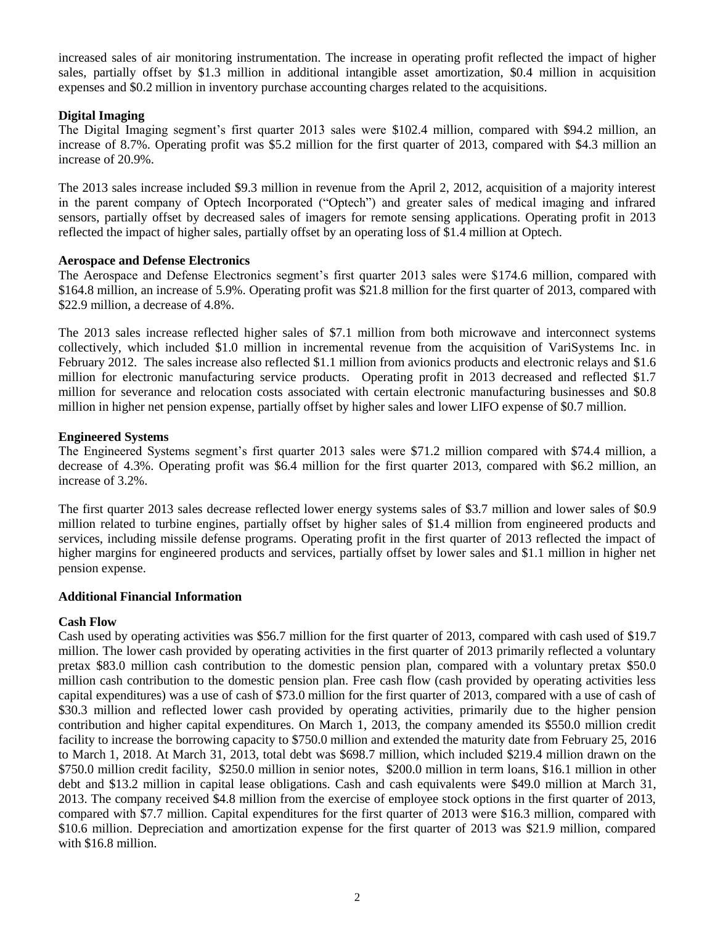increased sales of air monitoring instrumentation. The increase in operating profit reflected the impact of higher sales, partially offset by \$1.3 million in additional intangible asset amortization, \$0.4 million in acquisition expenses and \$0.2 million in inventory purchase accounting charges related to the acquisitions.

# **Digital Imaging**

The Digital Imaging segment's first quarter 2013 sales were \$102.4 million, compared with \$94.2 million, an increase of 8.7%. Operating profit was \$5.2 million for the first quarter of 2013, compared with \$4.3 million an increase of 20.9%.

The 2013 sales increase included \$9.3 million in revenue from the April 2, 2012, acquisition of a majority interest in the parent company of Optech Incorporated ("Optech") and greater sales of medical imaging and infrared sensors, partially offset by decreased sales of imagers for remote sensing applications. Operating profit in 2013 reflected the impact of higher sales, partially offset by an operating loss of \$1.4 million at Optech.

# **Aerospace and Defense Electronics**

The Aerospace and Defense Electronics segment's first quarter 2013 sales were \$174.6 million, compared with \$164.8 million, an increase of 5.9%. Operating profit was \$21.8 million for the first quarter of 2013, compared with \$22.9 million, a decrease of 4.8%.

The 2013 sales increase reflected higher sales of \$7.1 million from both microwave and interconnect systems collectively, which included \$1.0 million in incremental revenue from the acquisition of VariSystems Inc. in February 2012. The sales increase also reflected \$1.1 million from avionics products and electronic relays and \$1.6 million for electronic manufacturing service products. Operating profit in 2013 decreased and reflected \$1.7 million for severance and relocation costs associated with certain electronic manufacturing businesses and \$0.8 million in higher net pension expense, partially offset by higher sales and lower LIFO expense of \$0.7 million.

# **Engineered Systems**

The Engineered Systems segment's first quarter 2013 sales were \$71.2 million compared with \$74.4 million, a decrease of 4.3%. Operating profit was \$6.4 million for the first quarter 2013, compared with \$6.2 million, an increase of 3.2%.

The first quarter 2013 sales decrease reflected lower energy systems sales of \$3.7 million and lower sales of \$0.9 million related to turbine engines, partially offset by higher sales of \$1.4 million from engineered products and services, including missile defense programs. Operating profit in the first quarter of 2013 reflected the impact of higher margins for engineered products and services, partially offset by lower sales and \$1.1 million in higher net pension expense.

# **Additional Financial Information**

# **Cash Flow**

Cash used by operating activities was \$56.7 million for the first quarter of 2013, compared with cash used of \$19.7 million. The lower cash provided by operating activities in the first quarter of 2013 primarily reflected a voluntary pretax \$83.0 million cash contribution to the domestic pension plan, compared with a voluntary pretax \$50.0 million cash contribution to the domestic pension plan. Free cash flow (cash provided by operating activities less capital expenditures) was a use of cash of \$73.0 million for the first quarter of 2013, compared with a use of cash of \$30.3 million and reflected lower cash provided by operating activities, primarily due to the higher pension contribution and higher capital expenditures. On March 1, 2013, the company amended its \$550.0 million credit facility to increase the borrowing capacity to \$750.0 million and extended the maturity date from February 25, 2016 to March 1, 2018. At March 31, 2013, total debt was \$698.7 million, which included \$219.4 million drawn on the \$750.0 million credit facility, \$250.0 million in senior notes, \$200.0 million in term loans, \$16.1 million in other debt and \$13.2 million in capital lease obligations. Cash and cash equivalents were \$49.0 million at March 31, 2013. The company received \$4.8 million from the exercise of employee stock options in the first quarter of 2013, compared with \$7.7 million. Capital expenditures for the first quarter of 2013 were \$16.3 million, compared with \$10.6 million. Depreciation and amortization expense for the first quarter of 2013 was \$21.9 million, compared with \$16.8 million.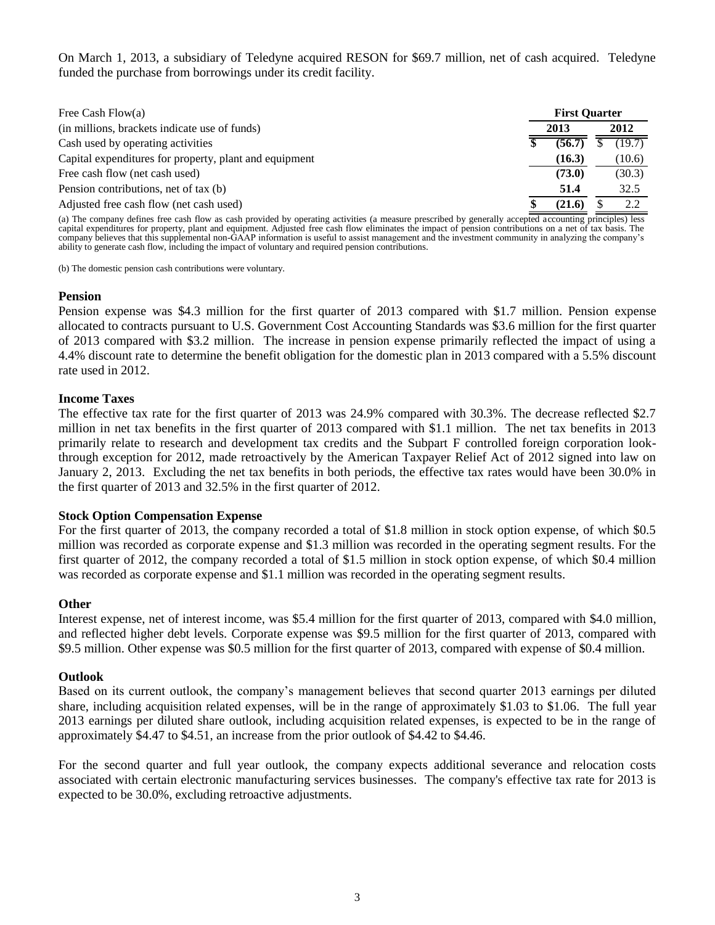On March 1, 2013, a subsidiary of Teledyne acquired RESON for \$69.7 million, net of cash acquired. Teledyne funded the purchase from borrowings under its credit facility.

| Free Cash Flow(a)                                      | <b>First Quarter</b> |  |        |  |  |
|--------------------------------------------------------|----------------------|--|--------|--|--|
| (in millions, brackets indicate use of funds)          | 2013                 |  | 2012   |  |  |
| Cash used by operating activities                      | (56.7)               |  | (19.7) |  |  |
| Capital expenditures for property, plant and equipment | (16.3)               |  | (10.6) |  |  |
| Free cash flow (net cash used)                         | (73.0)               |  | (30.3) |  |  |
| Pension contributions, net of tax (b)                  | 51.4                 |  | 32.5   |  |  |
| Adjusted free cash flow (net cash used)                | (21.6)               |  | 2.2    |  |  |
|                                                        |                      |  |        |  |  |

(a) The company defines free cash flow as cash provided by operating activities (a measure prescribed by generally accepted accounting principles) less capital expenditures for property, plant and equipment. Adjusted free company believes that this supplemental non-GAAP information is useful to assist management and the investment community in analyzing the company's ability to generate cash flow, including the impact of voluntary and required pension contributions.

(b) The domestic pension cash contributions were voluntary.

#### **Pension**

Pension expense was \$4.3 million for the first quarter of 2013 compared with \$1.7 million. Pension expense allocated to contracts pursuant to U.S. Government Cost Accounting Standards was \$3.6 million for the first quarter of 2013 compared with \$3.2 million. The increase in pension expense primarily reflected the impact of using a 4.4% discount rate to determine the benefit obligation for the domestic plan in 2013 compared with a 5.5% discount rate used in 2012.

#### **Income Taxes**

The effective tax rate for the first quarter of 2013 was 24.9% compared with 30.3%. The decrease reflected \$2.7 million in net tax benefits in the first quarter of 2013 compared with \$1.1 million. The net tax benefits in 2013 primarily relate to research and development tax credits and the Subpart F controlled foreign corporation lookthrough exception for 2012, made retroactively by the American Taxpayer Relief Act of 2012 signed into law on January 2, 2013. Excluding the net tax benefits in both periods, the effective tax rates would have been 30.0% in the first quarter of 2013 and 32.5% in the first quarter of 2012.

#### **Stock Option Compensation Expense**

For the first quarter of 2013, the company recorded a total of \$1.8 million in stock option expense, of which \$0.5 million was recorded as corporate expense and \$1.3 million was recorded in the operating segment results. For the first quarter of 2012, the company recorded a total of \$1.5 million in stock option expense, of which \$0.4 million was recorded as corporate expense and \$1.1 million was recorded in the operating segment results.

#### **Other**

Interest expense, net of interest income, was \$5.4 million for the first quarter of 2013, compared with \$4.0 million, and reflected higher debt levels. Corporate expense was \$9.5 million for the first quarter of 2013, compared with \$9.5 million. Other expense was \$0.5 million for the first quarter of 2013, compared with expense of \$0.4 million.

#### **Outlook**

Based on its current outlook, the company's management believes that second quarter 2013 earnings per diluted share, including acquisition related expenses, will be in the range of approximately \$1.03 to \$1.06. The full year 2013 earnings per diluted share outlook, including acquisition related expenses, is expected to be in the range of approximately \$4.47 to \$4.51, an increase from the prior outlook of \$4.42 to \$4.46.

For the second quarter and full year outlook, the company expects additional severance and relocation costs associated with certain electronic manufacturing services businesses. The company's effective tax rate for 2013 is expected to be 30.0%, excluding retroactive adjustments.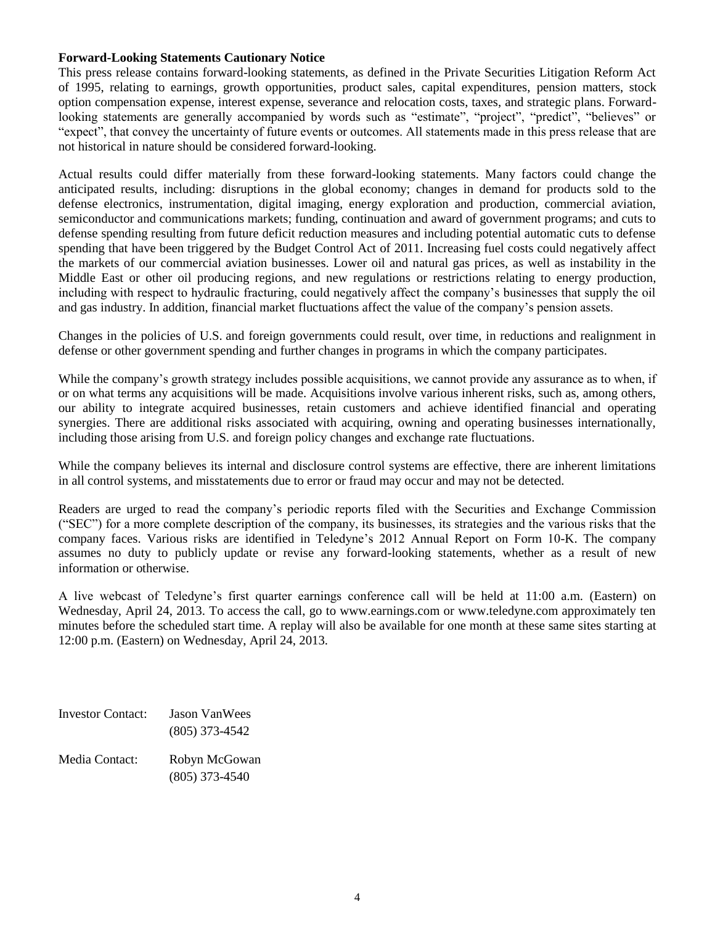# **Forward-Looking Statements Cautionary Notice**

This press release contains forward-looking statements, as defined in the Private Securities Litigation Reform Act of 1995, relating to earnings, growth opportunities, product sales, capital expenditures, pension matters, stock option compensation expense, interest expense, severance and relocation costs, taxes, and strategic plans. Forwardlooking statements are generally accompanied by words such as "estimate", "project", "predict", "believes" or "expect", that convey the uncertainty of future events or outcomes. All statements made in this press release that are not historical in nature should be considered forward-looking.

Actual results could differ materially from these forward-looking statements. Many factors could change the anticipated results, including: disruptions in the global economy; changes in demand for products sold to the defense electronics, instrumentation, digital imaging, energy exploration and production, commercial aviation, semiconductor and communications markets; funding, continuation and award of government programs; and cuts to defense spending resulting from future deficit reduction measures and including potential automatic cuts to defense spending that have been triggered by the Budget Control Act of 2011. Increasing fuel costs could negatively affect the markets of our commercial aviation businesses. Lower oil and natural gas prices, as well as instability in the Middle East or other oil producing regions, and new regulations or restrictions relating to energy production, including with respect to hydraulic fracturing, could negatively affect the company's businesses that supply the oil and gas industry. In addition, financial market fluctuations affect the value of the company's pension assets.

Changes in the policies of U.S. and foreign governments could result, over time, in reductions and realignment in defense or other government spending and further changes in programs in which the company participates.

While the company's growth strategy includes possible acquisitions, we cannot provide any assurance as to when, if or on what terms any acquisitions will be made. Acquisitions involve various inherent risks, such as, among others, our ability to integrate acquired businesses, retain customers and achieve identified financial and operating synergies. There are additional risks associated with acquiring, owning and operating businesses internationally, including those arising from U.S. and foreign policy changes and exchange rate fluctuations.

While the company believes its internal and disclosure control systems are effective, there are inherent limitations in all control systems, and misstatements due to error or fraud may occur and may not be detected.

Readers are urged to read the company's periodic reports filed with the Securities and Exchange Commission ("SEC") for a more complete description of the company, its businesses, its strategies and the various risks that the company faces. Various risks are identified in Teledyne's 2012 Annual Report on Form 10-K. The company assumes no duty to publicly update or revise any forward-looking statements, whether as a result of new information or otherwise.

A live webcast of Teledyne's first quarter earnings conference call will be held at 11:00 a.m. (Eastern) on Wednesday, April 24, 2013. To access the call, go to www.earnings.com or www.teledyne.com approximately ten minutes before the scheduled start time. A replay will also be available for one month at these same sites starting at 12:00 p.m. (Eastern) on Wednesday, April 24, 2013.

| <b>Investor Contact:</b> | Jason VanWees<br>$(805)$ 373-4542 |
|--------------------------|-----------------------------------|
| Media Contact:           | Robyn McGowan<br>$(805)$ 373-4540 |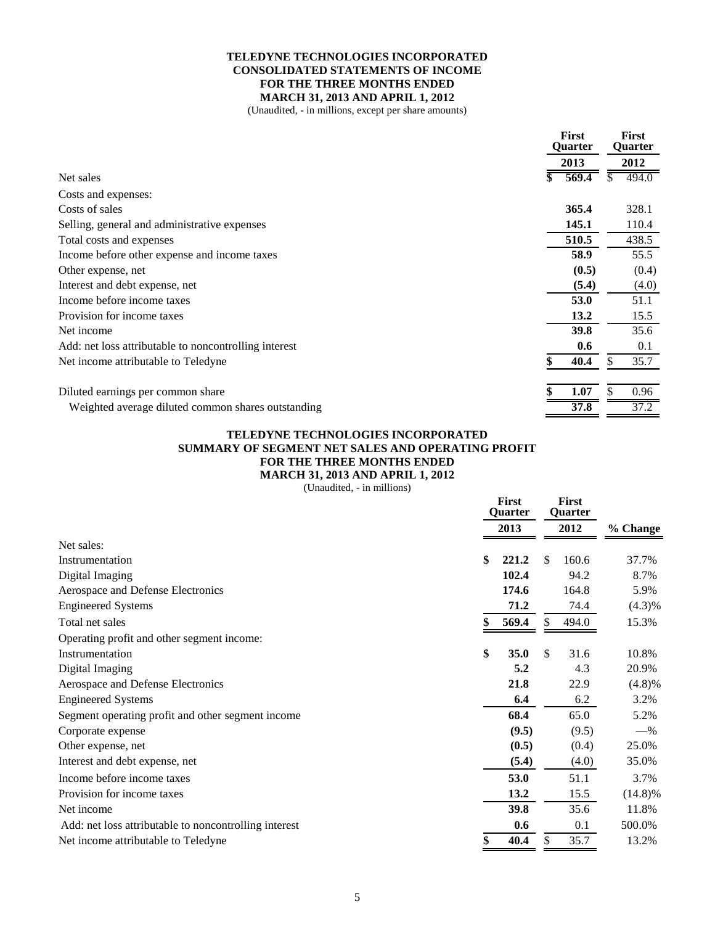#### **TELEDYNE TECHNOLOGIES INCORPORATED CONSOLIDATED STATEMENTS OF INCOME FOR THE THREE MONTHS ENDED MARCH 31, 2013 AND APRIL 1, 2012**

(Unaudited, - in millions, except per share amounts)

|                                                       | <b>First</b><br><b>Ouarter</b><br>2013 |       | <b>First</b><br><b>Quarter</b><br>2012 |       |
|-------------------------------------------------------|----------------------------------------|-------|----------------------------------------|-------|
|                                                       |                                        |       |                                        |       |
| Net sales                                             |                                        | 569.4 | \$                                     | 494.0 |
| Costs and expenses:                                   |                                        |       |                                        |       |
| Costs of sales                                        |                                        | 365.4 |                                        | 328.1 |
| Selling, general and administrative expenses          |                                        | 145.1 |                                        | 110.4 |
| Total costs and expenses                              |                                        | 510.5 |                                        | 438.5 |
| Income before other expense and income taxes          |                                        | 58.9  |                                        | 55.5  |
| Other expense, net                                    |                                        | (0.5) |                                        | (0.4) |
| Interest and debt expense, net                        |                                        | (5.4) |                                        | (4.0) |
| Income before income taxes                            |                                        | 53.0  |                                        | 51.1  |
| Provision for income taxes                            |                                        | 13.2  |                                        | 15.5  |
| Net income                                            |                                        | 39.8  |                                        | 35.6  |
| Add: net loss attributable to noncontrolling interest |                                        | 0.6   |                                        | 0.1   |
| Net income attributable to Teledyne                   |                                        | 40.4  | \$.                                    | 35.7  |
|                                                       |                                        |       |                                        |       |
| Diluted earnings per common share                     |                                        | 1.07  | \$                                     | 0.96  |
| Weighted average diluted common shares outstanding    |                                        | 37.8  |                                        | 37.2  |

#### **TELEDYNE TECHNOLOGIES INCORPORATED SUMMARY OF SEGMENT NET SALES AND OPERATING PROFIT FOR THE THREE MONTHS ENDED MARCH 31, 2013 AND APRIL 1, 2012**

(Unaudited, - in millions)

|                                                       | <b>First</b><br><b>Ouarter</b> |    | <b>First</b><br>Quarter |            |
|-------------------------------------------------------|--------------------------------|----|-------------------------|------------|
|                                                       | 2013                           |    | 2012                    | % Change   |
| Net sales:                                            |                                |    |                         |            |
| Instrumentation                                       | \$<br>221.2                    | \$ | 160.6                   | 37.7%      |
| Digital Imaging                                       | 102.4                          |    | 94.2                    | 8.7%       |
| Aerospace and Defense Electronics                     | 174.6                          |    | 164.8                   | 5.9%       |
| <b>Engineered Systems</b>                             | 71.2                           |    | 74.4                    | $(4.3)\%$  |
| Total net sales                                       | \$<br>569.4                    | S  | 494.0                   | 15.3%      |
| Operating profit and other segment income:            |                                |    |                         |            |
| Instrumentation                                       | \$<br>35.0                     | \$ | 31.6                    | 10.8%      |
| Digital Imaging                                       | 5.2                            |    | 4.3                     | 20.9%      |
| Aerospace and Defense Electronics                     | 21.8                           |    | 22.9                    | (4.8)%     |
| <b>Engineered Systems</b>                             | 6.4                            |    | 6.2                     | 3.2%       |
| Segment operating profit and other segment income     | 68.4                           |    | 65.0                    | 5.2%       |
| Corporate expense                                     | (9.5)                          |    | (9.5)                   | $-$ %      |
| Other expense, net                                    | (0.5)                          |    | (0.4)                   | 25.0%      |
| Interest and debt expense, net                        | (5.4)                          |    | (4.0)                   | 35.0%      |
| Income before income taxes                            | 53.0                           |    | 51.1                    | 3.7%       |
| Provision for income taxes                            | 13.2                           |    | 15.5                    | $(14.8)\%$ |
| Net income                                            | 39.8                           |    | 35.6                    | 11.8%      |
| Add: net loss attributable to noncontrolling interest | 0.6                            |    | 0.1                     | 500.0%     |
| Net income attributable to Teledyne                   | 40.4                           | \$ | 35.7                    | 13.2%      |